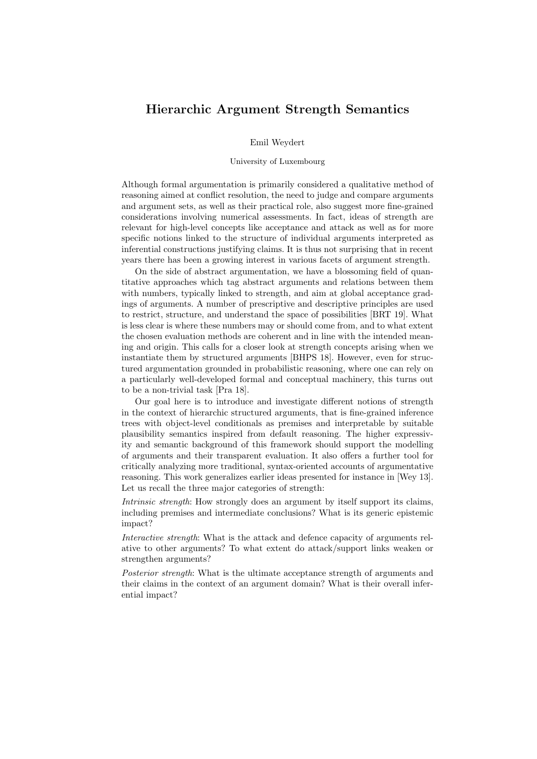## Hierarchic Argument Strength Semantics

Emil Weydert

## University of Luxembourg

Although formal argumentation is primarily considered a qualitative method of reasoning aimed at conflict resolution, the need to judge and compare arguments and argument sets, as well as their practical role, also suggest more fine-grained considerations involving numerical assessments. In fact, ideas of strength are relevant for high-level concepts like acceptance and attack as well as for more specific notions linked to the structure of individual arguments interpreted as inferential constructions justifying claims. It is thus not surprising that in recent years there has been a growing interest in various facets of argument strength.

On the side of abstract argumentation, we have a blossoming field of quantitative approaches which tag abstract arguments and relations between them with numbers, typically linked to strength, and aim at global acceptance gradings of arguments. A number of prescriptive and descriptive principles are used to restrict, structure, and understand the space of possibilities [BRT 19]. What is less clear is where these numbers may or should come from, and to what extent the chosen evaluation methods are coherent and in line with the intended meaning and origin. This calls for a closer look at strength concepts arising when we instantiate them by structured arguments [BHPS 18]. However, even for structured argumentation grounded in probabilistic reasoning, where one can rely on a particularly well-developed formal and conceptual machinery, this turns out to be a non-trivial task [Pra 18].

Our goal here is to introduce and investigate different notions of strength in the context of hierarchic structured arguments, that is fine-grained inference trees with object-level conditionals as premises and interpretable by suitable plausibility semantics inspired from default reasoning. The higher expressivity and semantic background of this framework should support the modelling of arguments and their transparent evaluation. It also offers a further tool for critically analyzing more traditional, syntax-oriented accounts of argumentative reasoning. This work generalizes earlier ideas presented for instance in [Wey 13]. Let us recall the three major categories of strength:

Intrinsic strength: How strongly does an argument by itself support its claims, including premises and intermediate conclusions? What is its generic epistemic impact?

Interactive strength: What is the attack and defence capacity of arguments relative to other arguments? To what extent do attack/support links weaken or strengthen arguments?

Posterior strength: What is the ultimate acceptance strength of arguments and their claims in the context of an argument domain? What is their overall inferential impact?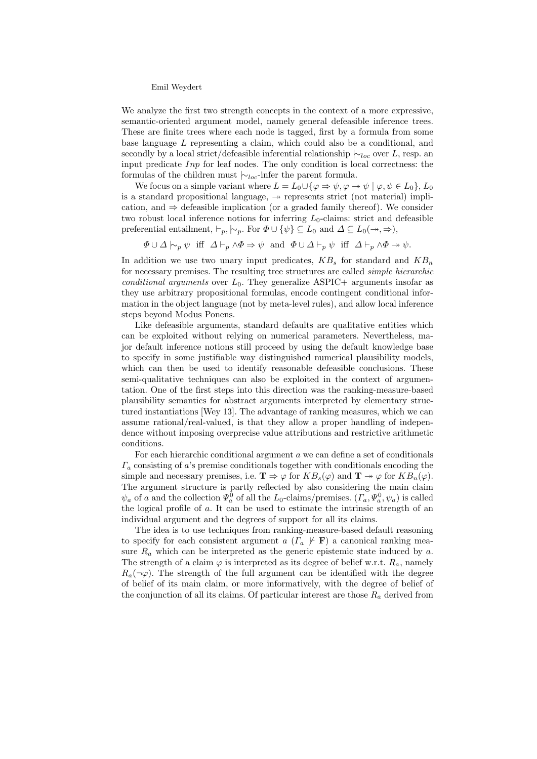## Emil Weydert

We analyze the first two strength concepts in the context of a more expressive, semantic-oriented argument model, namely general defeasible inference trees. These are finite trees where each node is tagged, first by a formula from some base language L representing a claim, which could also be a conditional, and secondly by a local strict/defeasible inferential relationship  $\sim_{loc}$  over L, resp. an input predicate Inp for leaf nodes. The only condition is local correctness: the formulas of the children must  $\vert \sim_{loc}$ -infer the parent formula.

We focus on a simple variant where  $L = L_0 \cup {\varphi \Rightarrow \psi, \varphi \Rightarrow \psi \mid \varphi, \psi \in L_0}, L_0$ is a standard propositional language,  $\rightarrow$  represents strict (not material) implication, and  $\Rightarrow$  defeasible implication (or a graded family thereof). We consider two robust local inference notions for inferring  $L_0$ -claims: strict and defeasible preferential entailment,  $\vdash_p, \vdash_p$ . For  $\Phi \cup \{\psi\} \subseteq L_0$  and  $\Delta \subseteq L_0(\rightarrow, \Rightarrow),$ 

 $\Phi \cup \Delta \vdash_{p} \psi \text{ iff } \Delta \vdash_{p} \wedge \Phi \Rightarrow \psi \text{ and } \Phi \cup \Delta \vdash_{p} \psi \text{ iff } \Delta \vdash_{p} \wedge \Phi \rightarrow \psi.$ 

In addition we use two unary input predicates,  $KB_s$  for standard and  $KB_n$ for necessary premises. The resulting tree structures are called simple hierarchic conditional arguments over  $L_0$ . They generalize ASPIC+ arguments insofar as they use arbitrary propositional formulas, encode contingent conditional information in the object language (not by meta-level rules), and allow local inference steps beyond Modus Ponens.

Like defeasible arguments, standard defaults are qualitative entities which can be exploited without relying on numerical parameters. Nevertheless, major default inference notions still proceed by using the default knowledge base to specify in some justifiable way distinguished numerical plausibility models, which can then be used to identify reasonable defeasible conclusions. These semi-qualitative techniques can also be exploited in the context of argumentation. One of the first steps into this direction was the ranking-measure-based plausibility semantics for abstract arguments interpreted by elementary structured instantiations [Wey 13]. The advantage of ranking measures, which we can assume rational/real-valued, is that they allow a proper handling of independence without imposing overprecise value attributions and restrictive arithmetic conditions.

For each hierarchic conditional argument a we can define a set of conditionals  $\Gamma_a$  consisting of a's premise conditionals together with conditionals encoding the simple and necessary premises, i.e.  $\mathbf{T} \Rightarrow \varphi$  for  $KB_s(\varphi)$  and  $\mathbf{T} \twoheadrightarrow \varphi$  for  $KB_n(\varphi)$ . The argument structure is partly reflected by also considering the main claim  $\psi_a$  of a and the collection  $\Psi_a^0$  of all the L<sub>0</sub>-claims/premises.  $(\Gamma_a, \Psi_a^0, \psi_a)$  is called the logical profile of a. It can be used to estimate the intrinsic strength of an individual argument and the degrees of support for all its claims.

The idea is to use techniques from ranking-measure-based default reasoning to specify for each consistent argument a  $(\Gamma_a \not \vdash \mathbf{F})$  a canonical ranking measure  $R_a$  which can be interpreted as the generic epistemic state induced by  $a$ . The strength of a claim  $\varphi$  is interpreted as its degree of belief w.r.t.  $R_a$ , namely  $R_a(\neg \varphi)$ . The strength of the full argument can be identified with the degree of belief of its main claim, or more informatively, with the degree of belief of the conjunction of all its claims. Of particular interest are those  $R_a$  derived from